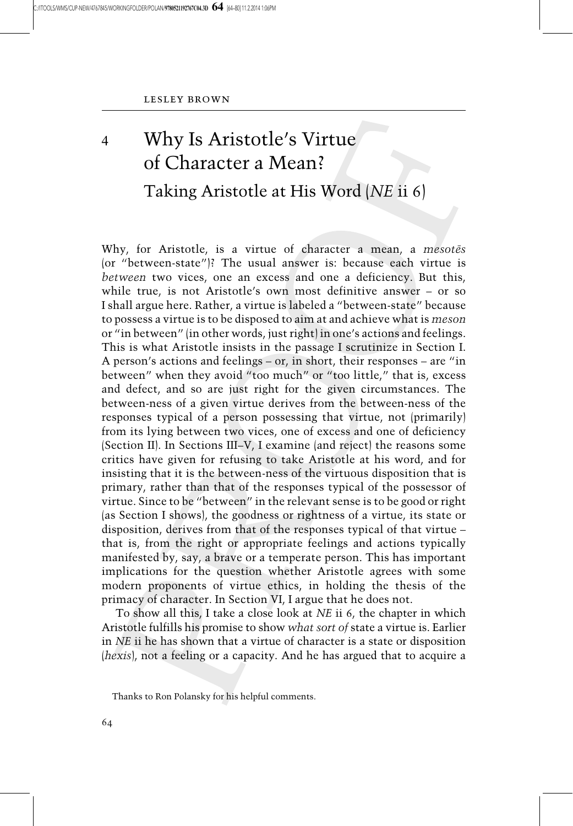# 4 Why Is Aristotle's Virtue of Character a Mean? Taking Aristotle at His Word (NE ii 6)

Why, for Aristotle, is a virtue of character a mean, a mesotes (or "between-state")? The usual answer is: because each virtue is between two vices, one an excess and one a deficiency. But this, while true, is not Aristotle's own most definitive answer – or so I shall argue here. Rather, a virtue is labeled a "between-state" because to possess a virtue is to be disposed to aim at and achieve what is meson or "in between" (in other words, just right) in one's actions and feelings. This is what Aristotle insists in the passage I scrutinize in Section I. A person's actions and feelings – or, in short, their responses – are "in between" when they avoid "too much" or "too little," that is, excess and defect, and so are just right for the given circumstances. The between-ness of a given virtue derives from the between-ness of the responses typical of a person possessing that virtue, not (primarily) from its lying between two vices, one of excess and one of deficiency (Section II). In Sections III–V, I examine (and reject) the reasons some critics have given for refusing to take Aristotle at his word, and for insisting that it is the between-ness of the virtuous disposition that is primary, rather than that of the responses typical of the possessor of virtue. Since to be "between" in the relevant sense is to be good or right (as Section I shows), the goodness or rightness of a virtue, its state or disposition, derives from that of the responses typical of that virtue – that is, from the right or appropriate feelings and actions typically manifested by, say, a brave or a temperate person. This has important implications for the question whether Aristotle agrees with some modern proponents of virtue ethics, in holding the thesis of the primacy of character. In Section VI, I argue that he does not.

To show all this, I take a close look at NE ii 6, the chapter in which Aristotle fulfills his promise to show what sort of state a virtue is. Earlier in NE ii he has shown that a virtue of character is a state or disposition (hexis), not a feeling or a capacity. And he has argued that to acquire a

Thanks to Ron Polansky for his helpful comments.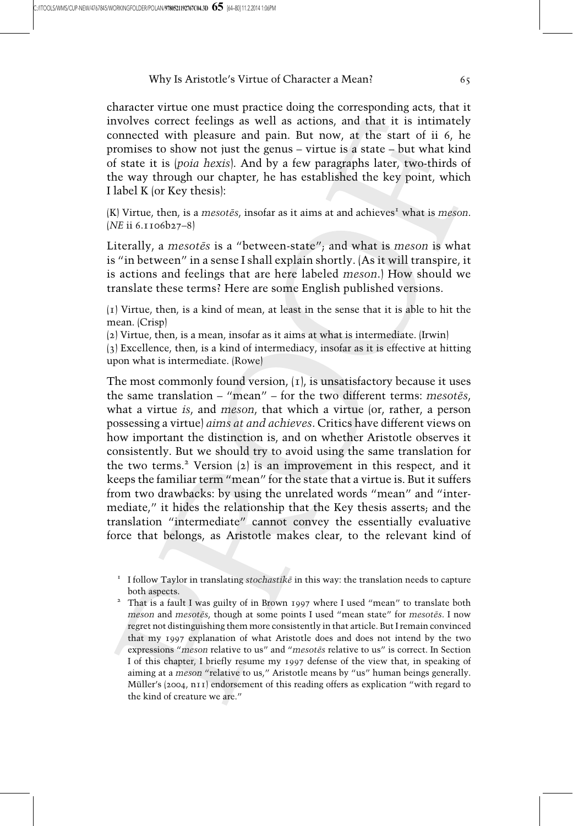character virtue one must practice doing the corresponding acts, that it involves correct feelings as well as actions, and that it is intimately connected with pleasure and pain. But now, at the start of ii 6, he promises to show not just the genus – virtue is a state – but what kind of state it is (poia hexis). And by a few paragraphs later, two-thirds of the way through our chapter, he has established the key point, which I label K (or Key thesis):

(K) Virtue, then, is a mesotes, insofar as it aims at and achieves<sup>1</sup> what is meson. (NE ii 6.1106b27–8)

Literally, a mesotes is a "between-state"; and what is meson is what is "in between" in a sense I shall explain shortly. (As it will transpire, it is actions and feelings that are here labeled meson.) How should we translate these terms? Here are some English published versions.

(1) Virtue, then, is a kind of mean, at least in the sense that it is able to hit the mean. (Crisp)

(2) Virtue, then, is a mean, insofar as it aims at what is intermediate. (Irwin) (3) Excellence, then, is a kind of intermediacy, insofar as it is effective at hitting upon what is intermediate. (Rowe)

The most commonly found version, (1), is unsatisfactory because it uses the same translation – "mean" – for the two different terms: mesotes, what a virtue is, and *meson*, that which a virtue (or, rather, a person possessing a virtue) aims at and achieves. Critics have different views on how important the distinction is, and on whether Aristotle observes it consistently. But we should try to avoid using the same translation for the two terms.<sup>2</sup> Version  $\left(2\right)$  is an improvement in this respect, and it keeps the familiar term "mean" for the state that a virtue is. But it suffers from two drawbacks: by using the unrelated words "mean" and "intermediate," it hides the relationship that the Key thesis asserts; and the translation "intermediate" cannot convey the essentially evaluative force that belongs, as Aristotle makes clear, to the relevant kind of

<sup>1</sup> I follow Taylor in translating stochastike in this way: the translation needs to capture both aspects. <sup>2</sup> That is a fault I was guilty of in Brown <sup>1997</sup> where I used "mean" to translate both

meson and mesotes, though at some points I used "mean state" for mesotes. I now regret not distinguishing them more consistently in that article. But I remain convinced that my 1997 explanation of what Aristotle does and does not intend by the two expressions "meson relative to us" and "mesotes relative to us" is correct. In Section I of this chapter, I briefly resume my 1997 defense of the view that, in speaking of aiming at a meson "relative to us," Aristotle means by "us" human beings generally. Müller's (2004, n11) endorsement of this reading offers as explication "with regard to the kind of creature we are."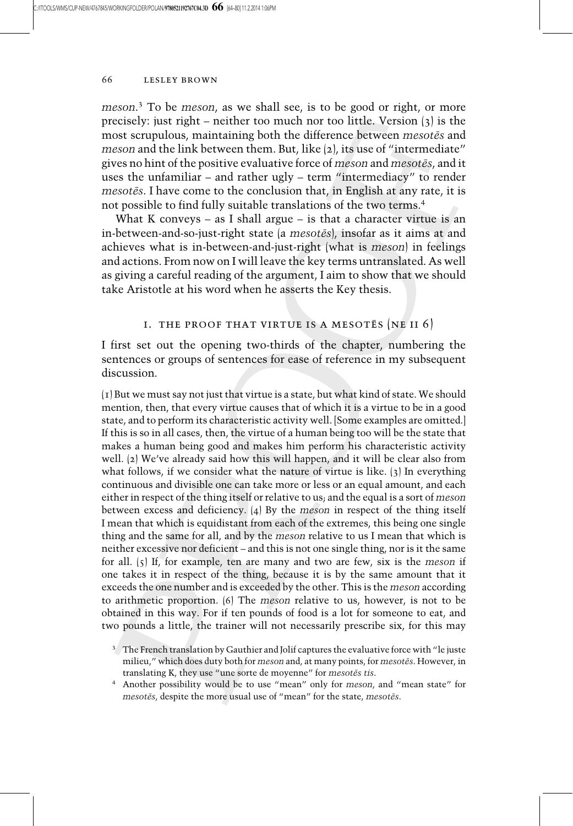meson.<sup>3</sup> To be meson, as we shall see, is to be good or right, or more precisely: just right – neither too much nor too little. Version (3) is the most scrupulous, maintaining both the difference between *mesotes* and meson and the link between them. But, like (2), its use of "intermediate" gives no hint of the positive evaluative force of *meson* and *mesotes*, and it uses the unfamiliar – and rather ugly – term "intermediacy" to render mesotes. I have come to the conclusion that, in English at any rate, it is not possible to find fully suitable translations of the two terms.<sup>4</sup>

What  $K$  conveys – as I shall argue – is that a character virtue is an in-between-and-so-just-right state (a *mesotes*), insofar as it aims at and achieves what is in-between-and-just-right (what is meson) in feelings and actions. From now on I will leave the key terms untranslated. As well as giving a careful reading of the argument, I aim to show that we should take Aristotle at his word when he asserts the Key thesis.

# I. THE PROOF THAT VIRTUE IS A MESOTES (NE II 6)

I first set out the opening two-thirds of the chapter, numbering the sentences or groups of sentences for ease of reference in my subsequent discussion.

(1) But we must say not just that virtue is a state, but what kind of state. We should mention, then, that every virtue causes that of which it is a virtue to be in a good state, and to perform its characteristic activity well. [Some examples are omitted.] If this is so in all cases, then, the virtue of a human being too will be the state that makes a human being good and makes him perform his characteristic activity well. (2) We've already said how this will happen, and it will be clear also from what follows, if we consider what the nature of virtue is like. (3) In everything continuous and divisible one can take more or less or an equal amount, and each either in respect of the thing itself or relative to us; and the equal is a sort of *meson* between excess and deficiency. (4) By the meson in respect of the thing itself I mean that which is equidistant from each of the extremes, this being one single thing and the same for all, and by the meson relative to us I mean that which is neither excessive nor deficient – and this is not one single thing, nor is it the same for all. (5) If, for example, ten are many and two are few, six is the meson if one takes it in respect of the thing, because it is by the same amount that it exceeds the one number and is exceeded by the other. This is the meson according to arithmetic proportion. (6) The meson relative to us, however, is not to be obtained in this way. For if ten pounds of food is a lot for someone to eat, and two pounds a little, the trainer will not necessarily prescribe six, for this may

<sup>&</sup>lt;sup>3</sup> The French translation by Gauthier and Jolif captures the evaluative force with "le juste" milieu," which does duty both for meson and, at many points, for mesotes. However, in translating K, they use "une sorte de moyenne" for *mesotes tis*.  $\frac{4}{1}$  Another possibility would be to use "mean" only for *meson*, and "mean state" for

mesotes, despite the more usual use of "mean" for the state, mesotes.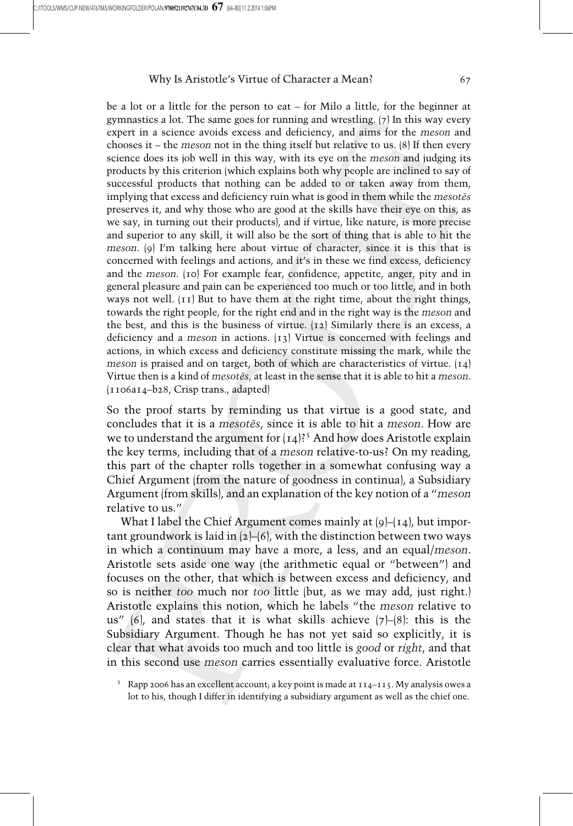be a lot or a little for the person to eat – for Milo a little, for the beginner at gymnastics a lot. The same goes for running and wrestling. (7) In this way every expert in a science avoids excess and deficiency, and aims for the *meson* and chooses it – the meson not in the thing itself but relative to us. (8) If then every science does its job well in this way, with its eye on the *meson* and judging its products by this criterion (which explains both why people are inclined to say of successful products that nothing can be added to or taken away from them, implying that excess and deficiency ruin what is good in them while the mesotes preserves it, and why those who are good at the skills have their eye on this, as we say, in turning out their products), and if virtue, like nature, is more precise and superior to any skill, it will also be the sort of thing that is able to hit the meson. (9) I'm talking here about virtue of character, since it is this that is concerned with feelings and actions, and it's in these we find excess, deficiency and the meson. (10) For example fear, confidence, appetite, anger, pity and in general pleasure and pain can be experienced too much or too little, and in both ways not well.  $[T]$  But to have them at the right time, about the right things, towards the right people, for the right end and in the right way is the *meson* and the best, and this is the business of virtue. (12) Similarly there is an excess, a deficiency and a meson in actions. (13) Virtue is concerned with feelings and actions, in which excess and deficiency constitute missing the mark, while the meson is praised and on target, both of which are characteristics of virtue. (14) Virtue then is a kind of *mesotes*, at least in the sense that it is able to hit a *meson*. (1106a14–b28, Crisp trans., adapted)

So the proof starts by reminding us that virtue is a good state, and concludes that it is a *mesotes*, since it is able to hit a *meson*. How are we to understand the argument for  $\left(14\right)$ ?<sup>5</sup> And how does Aristotle explain the key terms, including that of a meson relative-to-us? On my reading, this part of the chapter rolls together in a somewhat confusing way a Chief Argument (from the nature of goodness in continua), a Subsidiary Argument (from skills), and an explanation of the key notion of a "meson relative to us."

What I label the Chief Argument comes mainly at  $(9)-(14)$ , but important groundwork is laid in (2)–(6), with the distinction between two ways in which a continuum may have a more, a less, and an equal/meson. Aristotle sets aside one way (the arithmetic equal or "between") and focuses on the other, that which is between excess and deficiency, and so is neither too much nor too little (but, as we may add, just right.) Aristotle explains this notion, which he labels "the meson relative to us"  $(6)$ , and states that it is what skills achieve  $(7)$ – $(8)$ : this is the Subsidiary Argument. Though he has not yet said so explicitly, it is clear that what avoids too much and too little is good or right, and that in this second use meson carries essentially evaluative force. Aristotle

<sup>5</sup> Rapp 2006 has an excellent account; a key point is made at  $114-115$ . My analysis owes a lot to his, though I differ in identifying a subsidiary argument as well as the chief one.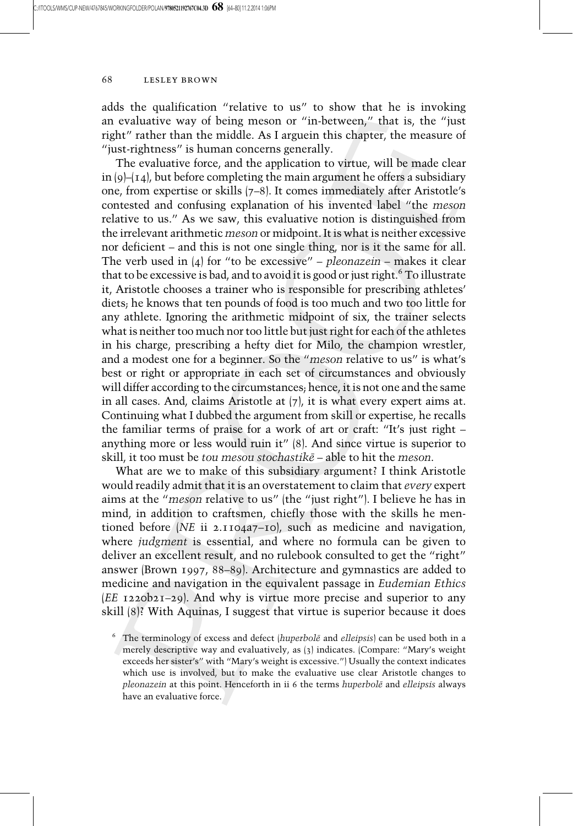adds the qualification "relative to us" to show that he is invoking an evaluative way of being meson or "in-between," that is, the "just right" rather than the middle. As I arguein this chapter, the measure of "just-rightness" is human concerns generally.

The evaluative force, and the application to virtue, will be made clear in  $\left(9\right)$ – $\left(14\right)$ , but before completing the main argument he offers a subsidiary one, from expertise or skills (7–8). It comes immediately after Aristotle's contested and confusing explanation of his invented label "the meson relative to us." As we saw, this evaluative notion is distinguished from the irrelevant arithmetic meson or midpoint. It is what is neither excessive nor deficient – and this is not one single thing, nor is it the same for all. The verb used in  $(4)$  for "to be excessive" – *pleonazein* – makes it clear that to be excessive is bad, and to avoid it is good or just right.<sup>6</sup> To illustrate it, Aristotle chooses a trainer who is responsible for prescribing athletes' diets; he knows that ten pounds of food is too much and two too little for any athlete. Ignoring the arithmetic midpoint of six, the trainer selects what is neither too much nor too little but just right for each of the athletes in his charge, prescribing a hefty diet for Milo, the champion wrestler, and a modest one for a beginner. So the "meson relative to us" is what's best or right or appropriate in each set of circumstances and obviously will differ according to the circumstances; hence, it is not one and the same in all cases. And, claims Aristotle at (7), it is what every expert aims at. Continuing what I dubbed the argument from skill or expertise, he recalls the familiar terms of praise for a work of art or craft: "It's just right – anything more or less would ruin it" (8). And since virtue is superior to skill, it too must be *tou mesou stochastike* – able to hit the *meson*.

What are we to make of this subsidiary argument? I think Aristotle would readily admit that it is an overstatement to claim that every expert aims at the "meson relative to us" (the "just right"). I believe he has in mind, in addition to craftsmen, chiefly those with the skills he mentioned before (NE ii 2.1104a7–10), such as medicine and navigation, where judgment is essential, and where no formula can be given to deliver an excellent result, and no rulebook consulted to get the "right" answer (Brown 1997, 88–89). Architecture and gymnastics are added to medicine and navigation in the equivalent passage in Eudemian Ethics  $(EE \t 1220b21-29)$ . And why is virtue more precise and superior to any skill (8)? With Aquinas, I suggest that virtue is superior because it does

The terminology of excess and defect (*huperbole* and *elleipsis*) can be used both in a merely descriptive way and evaluatively, as (3) indicates. (Compare: "Mary's weight exceeds her sister's" with "Mary's weight is excessive.") Usually the context indicates which use is involved, but to make the evaluative use clear Aristotle changes to pleonazein at this point. Henceforth in ii 6 the terms huperbole and elleipsis always have an evaluative force.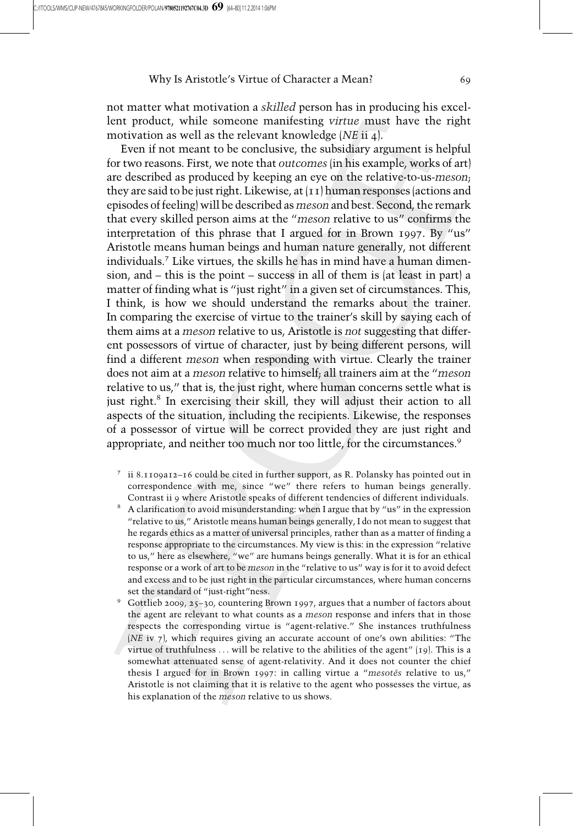not matter what motivation a skilled person has in producing his excellent product, while someone manifesting virtue must have the right motivation as well as the relevant knowledge (NE ii 4).

Even if not meant to be conclusive, the subsidiary argument is helpful for two reasons. First, we note that outcomes (in his example, works of art) are described as produced by keeping an eye on the relative-to-us-meson; they are said to be just right. Likewise, at  $(11)$  human responses (actions and episodes of feeling) will be described as meson and best. Second, the remark that every skilled person aims at the "meson relative to us" confirms the interpretation of this phrase that I argued for in Brown 1997. By "us" Aristotle means human beings and human nature generally, not different individuals.<sup>7</sup> Like virtues, the skills he has in mind have a human dimension, and – this is the point – success in all of them is (at least in part) a matter of finding what is "just right" in a given set of circumstances. This, I think, is how we should understand the remarks about the trainer. In comparing the exercise of virtue to the trainer's skill by saying each of them aims at a *meson* relative to us, Aristotle is not suggesting that different possessors of virtue of character, just by being different persons, will find a different meson when responding with virtue. Clearly the trainer does not aim at a meson relative to himself; all trainers aim at the "meson relative to us," that is, the just right, where human concerns settle what is just right.<sup>8</sup> In exercising their skill, they will adjust their action to all aspects of the situation, including the recipients. Likewise, the responses of a possessor of virtue will be correct provided they are just right and appropriate, and neither too much nor too little, for the circumstances.<sup>9</sup>

- $\frac{7}{10}$  ii 8.1109a12–16 could be cited in further support, as R. Polansky has pointed out in correspondence with me, since "we" there refers to human beings generally.
- Contrast ii <sup>9</sup> where Aristotle speaks of different tendencies of different individuals. <sup>8</sup> A clarification to avoid misunderstanding: when I argue that by "us" in the expression "relative to us," Aristotle means human beings generally, I do not mean to suggest that he regards ethics as a matter of universal principles, rather than as a matter of finding a response appropriate to the circumstances. My view is this: in the expression "relative to us," here as elsewhere, "we" are humans beings generally. What it is for an ethical response or a work of art to be meson in the "relative to us" way is for it to avoid defect and excess and to be just right in the particular circumstances, where human concerns
- set the standard of "just-right"ness. <sup>9</sup> Gottlieb <sup>2009</sup>, <sup>25</sup>–30, countering Brown <sup>1997</sup>, argues that a number of factors about the agent are relevant to what counts as a meson response and infers that in those respects the corresponding virtue is "agent-relative." She instances truthfulness (NE iv 7), which requires giving an accurate account of one's own abilities: "The virtue of truthfulness ... will be relative to the abilities of the agent" (19). This is a somewhat attenuated sense of agent-relativity. And it does not counter the chief thesis I argued for in Brown 1997: in calling virtue a "mesotes relative to us," Aristotle is not claiming that it is relative to the agent who possesses the virtue, as his explanation of the meson relative to us shows.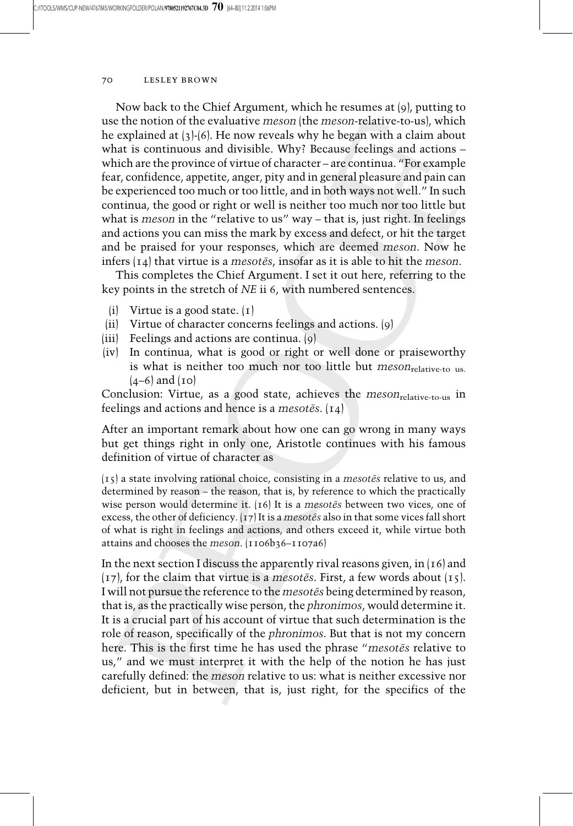Now back to the Chief Argument, which he resumes at (9), putting to use the notion of the evaluative meson (the meson-relative-to-us), which he explained at (3)-(6). He now reveals why he began with a claim about what is continuous and divisible. Why? Because feelings and actions – which are the province of virtue of character – are continua. "For example fear, confidence, appetite, anger, pity and in general pleasure and pain can be experienced too much or too little, and in both ways not well." In such continua, the good or right or well is neither too much nor too little but what is meson in the "relative to us" way – that is, just right. In feelings and actions you can miss the mark by excess and defect, or hit the target and be praised for your responses, which are deemed meson. Now he infers  $\left[14\right]$  that virtue is a *mesotes*, insofar as it is able to hit the *meson*.

This completes the Chief Argument. I set it out here, referring to the key points in the stretch of NE ii 6, with numbered sentences.

- (i) Virtue is a good state.  $(I)$
- (ii) Virtue of character concerns feelings and actions. (9)
- (iii) Feelings and actions are continua. (9)
- (iv) In continua, what is good or right or well done or praiseworthy is what is neither too much nor too little but  $meson_{\text{relative-to-us}}$ .  $(4-6)$  and  $(10)$

Conclusion: Virtue, as a good state, achieves the meson<sub>relative-to-us</sub> in feelings and actions and hence is a *mesotes*.  $\vert 14 \rangle$ 

After an important remark about how one can go wrong in many ways but get things right in only one, Aristotle continues with his famous definition of virtue of character as

 $(15)$  a state involving rational choice, consisting in a *mesotes* relative to us, and determined by reason – the reason, that is, by reference to which the practically wise person would determine it. (16) It is a mesotes between two vices, one of excess, the other of deficiency.  $(17)$  It is a *mesotes* also in that some vices fall short of what is right in feelings and actions, and others exceed it, while virtue both attains and chooses the *meson*. (1106b36-1107a6)

In the next section I discuss the apparently rival reasons given, in  $(16)$  and (17), for the claim that virtue is a *mesotes*. First, a few words about  $(15)$ . I will not pursue the reference to the *mesotes* being determined by reason, that is, as the practically wise person, the phronimos, would determine it. It is a crucial part of his account of virtue that such determination is the role of reason, specifically of the phronimos. But that is not my concern here. This is the first time he has used the phrase "mesotes relative to us," and we must interpret it with the help of the notion he has just carefully defined: the meson relative to us: what is neither excessive nor deficient, but in between, that is, just right, for the specifics of the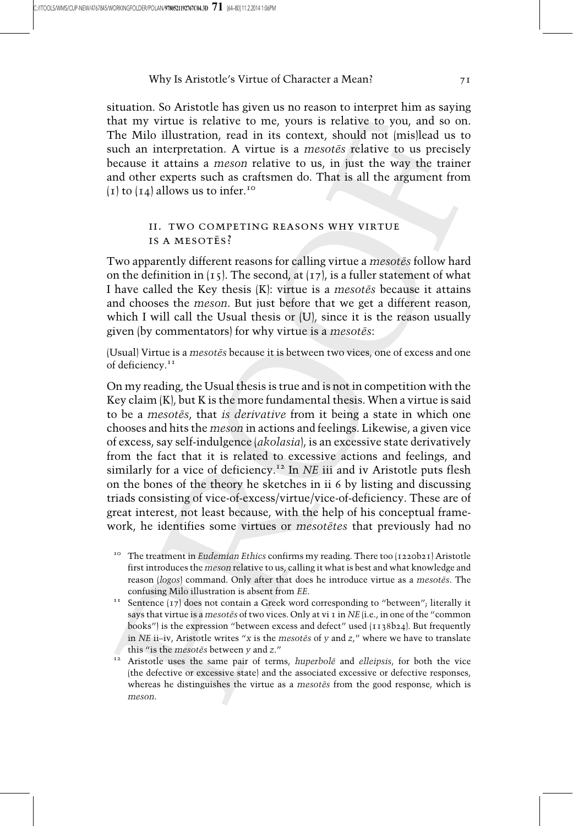situation. So Aristotle has given us no reason to interpret him as saying that my virtue is relative to me, yours is relative to you, and so on. The Milo illustration, read in its context, should not (mis)lead us to such an interpretation. A virtue is a *mesotes* relative to us precisely because it attains a meson relative to us, in just the way the trainer and other experts such as craftsmen do. That is all the argument from  $(1)$  to  $(14)$  allows us to infer.<sup>10</sup>

# ii. two competing reasons why virtue IS A MESOTES?

Two apparently different reasons for calling virtue a *mesotes* follow hard on the definition in  $\left[15\right)$ . The second, at  $\left[17\right)$ , is a fuller statement of what I have called the Key thesis  $(K)!$ : virtue is a *mesotes* because it attains and chooses the meson. But just before that we get a different reason, which I will call the Usual thesis or (U), since it is the reason usually given (by commentators) for why virtue is a mesotes:

(Usual) Virtue is a *mesotes* because it is between two vices, one of excess and one of deficiency.<sup>11</sup>

On my reading, the Usual thesis is true and is not in competition with the Key claim (K), but K is the more fundamental thesis. When a virtue is said to be a *mesotes*, that *is derivative* from it being a state in which one chooses and hits the meson in actions and feelings. Likewise, a given vice of excess, say self-indulgence (akolasia), is an excessive state derivatively from the fact that it is related to excessive actions and feelings, and similarly for a vice of deficiency.<sup>12</sup> In  $NE$  iii and iv Aristotle puts flesh on the bones of the theory he sketches in ii 6 by listing and discussing triads consisting of vice-of-excess/virtue/vice-of-deficiency. These are of great interest, not least because, with the help of his conceptual framework, he identifies some virtues or *mesotētes* that previously had no

- <sup>10</sup> The treatment in Eudemian Ethics confirms my reading. There too (1220b21) Aristotle first introduces the meson relative to us, calling it what is best and what knowledge and reason (logos) command. Only after that does he introduce virtue as a mesotes. The confusing Milo illustration is absent from *EE*.<br><sup>11</sup> Sentence (17) does not contain a Greek word corresponding to "between"; literally it
- says that virtue is a mesotes of two vices. Only at vi 1 in NE (i.e., in one of the "common books") is the expression "between excess and defect" used (1138b24). But frequently in NE ii–iv, Aristotle writes "x is the mesotes of y and z," where we have to translate this "is the mesotes between y and z."<br><sup>12</sup> Aristotle uses the same pair of terms, *huperbole* and *elleipsis*, for both the vice
- (the defective or excessive state) and the associated excessive or defective responses, whereas he distinguishes the virtue as a *mesotes* from the good response, which is meson.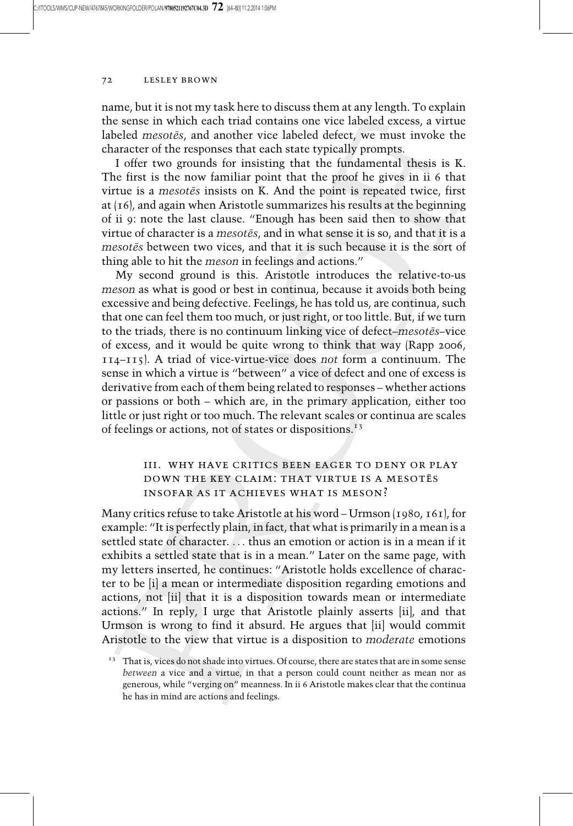name, but it is not my task here to discuss them at any length. To explain the sense in which each triad contains one vice labeled excess, a virtue labeled mesotes, and another vice labeled defect, we must invoke the character of the responses that each state typically prompts.

I offer two grounds for insisting that the fundamental thesis is K. The first is the now familiar point that the proof he gives in ii 6 that virtue is a mesotes insists on K. And the point is repeated twice, first at (16), and again when Aristotle summarizes his results at the beginning of ii 9: note the last clause. "Enough has been said then to show that virtue of character is a *mesotes*, and in what sense it is so, and that it is a mesotes between two vices, and that it is such because it is the sort of thing able to hit the meson in feelings and actions."

My second ground is this. Aristotle introduces the relative-to-us meson as what is good or best in continua, because it avoids both being excessive and being defective. Feelings, he has told us, are continua, such that one can feel them too much, or just right, or too little. But, if we turn to the triads, there is no continuum linking vice of defect–mesotes–vice of excess, and it would be quite wrong to think that way (Rapp 2006, 114–115). A triad of vice-virtue-vice does not form a continuum. The sense in which a virtue is "between" a vice of defect and one of excess is derivative from each of them being related to responses – whether actions or passions or both – which are, in the primary application, either too little or just right or too much. The relevant scales or continua are scales of feelings or actions, not of states or dispositions.<sup>13</sup>

# iii. why have critics been eager to deny or play DOWN THE KEY CLAIM: THAT VIRTUE IS A MESOTES insofar as it achieves what is meson?

Many critics refuse to take Aristotle at his word – Urmson (1980, 161), for example: "It is perfectly plain, in fact, that what is primarily in a mean is a settled state of character. ... thus an emotion or action is in a mean if it exhibits a settled state that is in a mean." Later on the same page, with my letters inserted, he continues: "Aristotle holds excellence of character to be [i] a mean or intermediate disposition regarding emotions and actions, not [ii] that it is a disposition towards mean or intermediate actions." In reply, I urge that Aristotle plainly asserts [ii], and that Urmson is wrong to find it absurd. He argues that [ii] would commit Aristotle to the view that virtue is a disposition to moderate emotions

 $13$  That is, vices do not shade into virtues. Of course, there are states that are in some sense between a vice and a virtue, in that a person could count neither as mean nor as generous, while "verging on" meanness. In ii 6 Aristotle makes clear that the continua he has in mind are actions and feelings.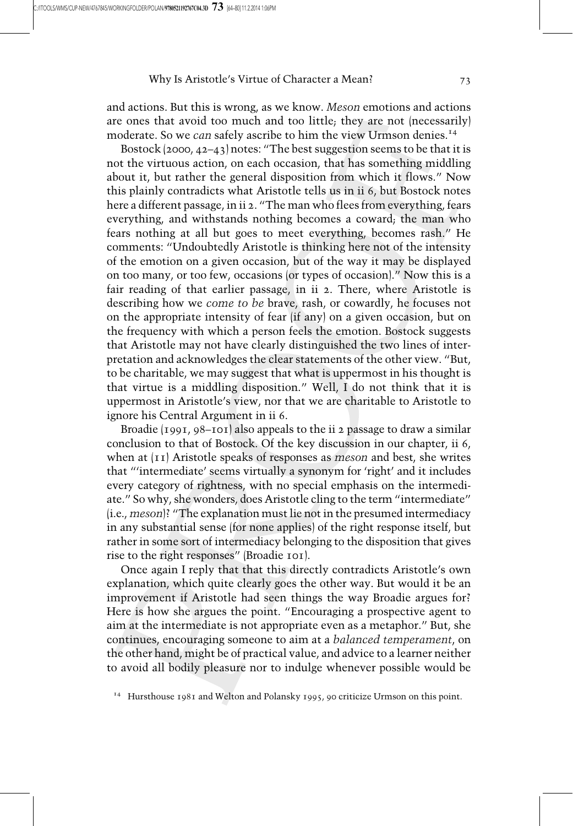;/ITOOLS/WMS/CUP-NEW/4767845/WORKINGFOLDER/POLAN/**9780521192767C04.3D**  $\,73$  [64–80] 11.2.2014 1:06PM

and actions. But this is wrong, as we know. Meson emotions and actions are ones that avoid too much and too little; they are not (necessarily) moderate. So we can safely ascribe to him the view Urmson denies.<sup>14</sup>

Bostock (2000, 42–43) notes: "The best suggestion seems to be that it is not the virtuous action, on each occasion, that has something middling about it, but rather the general disposition from which it flows." Now this plainly contradicts what Aristotle tells us in ii 6, but Bostock notes here a different passage, in ii 2. "The man who flees from everything, fears everything, and withstands nothing becomes a coward; the man who fears nothing at all but goes to meet everything, becomes rash." He comments: "Undoubtedly Aristotle is thinking here not of the intensity of the emotion on a given occasion, but of the way it may be displayed on too many, or too few, occasions (or types of occasion)." Now this is a fair reading of that earlier passage, in ii 2. There, where Aristotle is describing how we come to be brave, rash, or cowardly, he focuses not on the appropriate intensity of fear (if any) on a given occasion, but on the frequency with which a person feels the emotion. Bostock suggests that Aristotle may not have clearly distinguished the two lines of interpretation and acknowledges the clear statements of the other view. "But, to be charitable, we may suggest that what is uppermost in his thought is that virtue is a middling disposition." Well, I do not think that it is uppermost in Aristotle's view, nor that we are charitable to Aristotle to ignore his Central Argument in ii 6.

Broadie (1991, 98–101) also appeals to the ii 2 passage to draw a similar conclusion to that of Bostock. Of the key discussion in our chapter, ii 6, when at (11) Aristotle speaks of responses as *meson* and best, she writes that "'intermediate' seems virtually a synonym for 'right' and it includes every category of rightness, with no special emphasis on the intermediate." So why, she wonders, does Aristotle cling to the term "intermediate" (i.e., meson)? "The explanation must lie not in the presumed intermediacy in any substantial sense (for none applies) of the right response itself, but rather in some sort of intermediacy belonging to the disposition that gives rise to the right responses" (Broadie 101).

Once again I reply that that this directly contradicts Aristotle's own explanation, which quite clearly goes the other way. But would it be an improvement if Aristotle had seen things the way Broadie argues for? Here is how she argues the point. "Encouraging a prospective agent to aim at the intermediate is not appropriate even as a metaphor." But, she continues, encouraging someone to aim at a balanced temperament, on the other hand, might be of practical value, and advice to a learner neither to avoid all bodily pleasure nor to indulge whenever possible would be

<sup>14</sup> Hursthouse 1981 and Welton and Polansky 1995, 90 criticize Urmson on this point.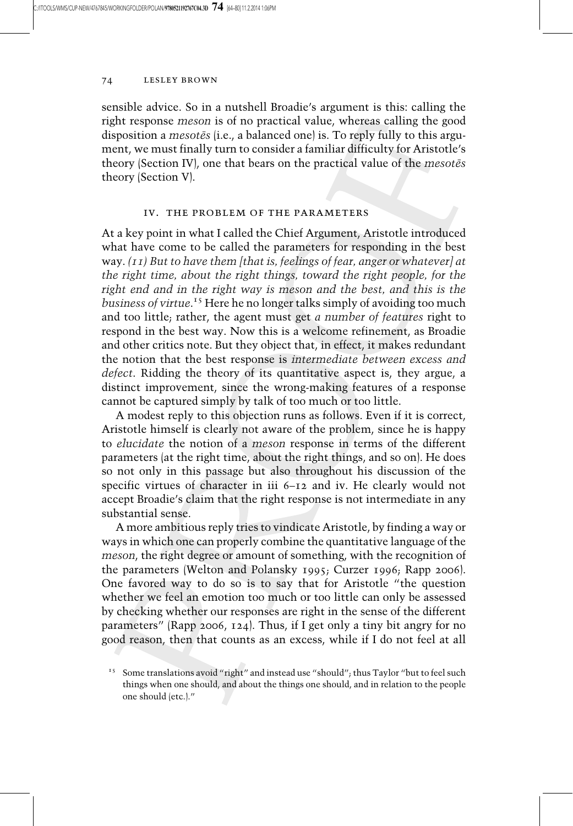sensible advice. So in a nutshell Broadie's argument is this: calling the right response meson is of no practical value, whereas calling the good disposition a *mesotes* (i.e., a balanced one) is. To reply fully to this argument, we must finally turn to consider a familiar difficulty for Aristotle's theory (Section IV), one that bears on the practical value of the *mesotes* theory (Section V).

## iv. the problem of the parameters

At a key point in what I called the Chief Argument, Aristotle introduced what have come to be called the parameters for responding in the best way.  $(11)$  But to have them [that is, feelings of fear, anger or whatever] at the right time, about the right things, toward the right people, for the right end and in the right way is meson and the best, and this is the business of virtue.<sup>15</sup> Here he no longer talks simply of avoiding too much and too little; rather, the agent must get a number of features right to respond in the best way. Now this is a welcome refinement, as Broadie and other critics note. But they object that, in effect, it makes redundant the notion that the best response is intermediate between excess and defect. Ridding the theory of its quantitative aspect is, they argue, a distinct improvement, since the wrong-making features of a response cannot be captured simply by talk of too much or too little.

A modest reply to this objection runs as follows. Even if it is correct, Aristotle himself is clearly not aware of the problem, since he is happy to elucidate the notion of a meson response in terms of the different parameters (at the right time, about the right things, and so on). He does so not only in this passage but also throughout his discussion of the specific virtues of character in iii 6–12 and iv. He clearly would not accept Broadie's claim that the right response is not intermediate in any substantial sense.

A more ambitious reply tries to vindicate Aristotle, by finding a way or ways in which one can properly combine the quantitative language of the meson, the right degree or amount of something, with the recognition of the parameters (Welton and Polansky 1995; Curzer 1996; Rapp 2006). One favored way to do so is to say that for Aristotle "the question whether we feel an emotion too much or too little can only be assessed by checking whether our responses are right in the sense of the different parameters" (Rapp 2006, 124). Thus, if I get only a tiny bit angry for no good reason, then that counts as an excess, while if I do not feel at all

<sup>&</sup>lt;sup>15</sup> Some translations avoid "right" and instead use "should"; thus Taylor "but to feel such things when one should, and about the things one should, and in relation to the people one should (etc.)."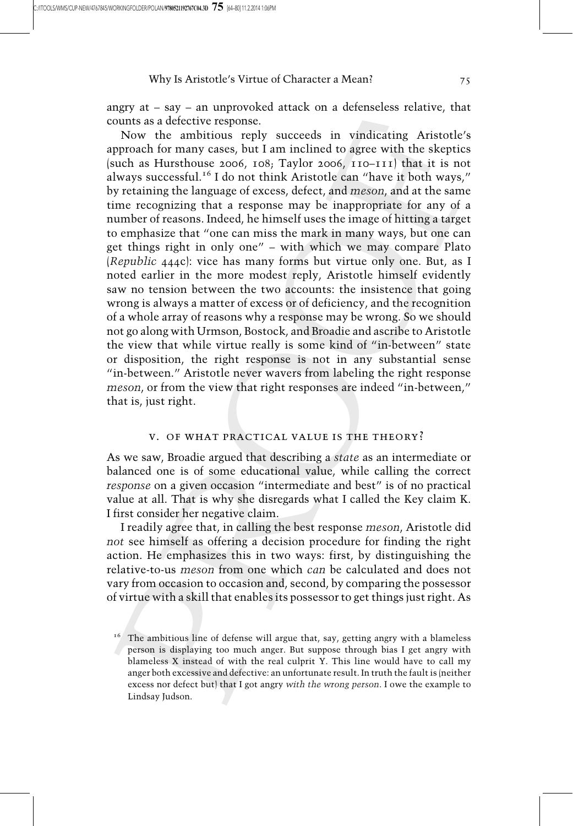angry at – say – an unprovoked attack on a defenseless relative, that counts as a defective response.

Now the ambitious reply succeeds in vindicating Aristotle's approach for many cases, but I am inclined to agree with the skeptics (such as Hursthouse 2006, 108; Taylor 2006, 110–111) that it is not always successful.<sup>16</sup> I do not think Aristotle can "have it both ways," by retaining the language of excess, defect, and *meson*, and at the same time recognizing that a response may be inappropriate for any of a number of reasons. Indeed, he himself uses the image of hitting a target to emphasize that "one can miss the mark in many ways, but one can get things right in only one" – with which we may compare Plato (Republic 444c): vice has many forms but virtue only one. But, as I noted earlier in the more modest reply, Aristotle himself evidently saw no tension between the two accounts: the insistence that going wrong is always a matter of excess or of deficiency, and the recognition of a whole array of reasons why a response may be wrong. So we should not go along with Urmson, Bostock, and Broadie and ascribe to Aristotle the view that while virtue really is some kind of "in-between" state or disposition, the right response is not in any substantial sense "in-between." Aristotle never wavers from labeling the right response meson, or from the view that right responses are indeed "in-between," that is, just right.

# v. of what practical value is the theory?

As we saw, Broadie argued that describing a state as an intermediate or balanced one is of some educational value, while calling the correct response on a given occasion "intermediate and best" is of no practical value at all. That is why she disregards what I called the Key claim K. I first consider her negative claim.

I readily agree that, in calling the best response meson, Aristotle did not see himself as offering a decision procedure for finding the right action. He emphasizes this in two ways: first, by distinguishing the relative-to-us meson from one which can be calculated and does not vary from occasion to occasion and, second, by comparing the possessor of virtue with a skill that enables its possessor to get things just right. As

<sup>&</sup>lt;sup>16</sup> The ambitious line of defense will argue that, say, getting angry with a blameless person is displaying too much anger. But suppose through bias I get angry with blameless X instead of with the real culprit Y. This line would have to call my anger both excessive and defective: an unfortunate result. In truth the fault is (neither excess nor defect but) that I got angry with the wrong person. I owe the example to Lindsay Judson.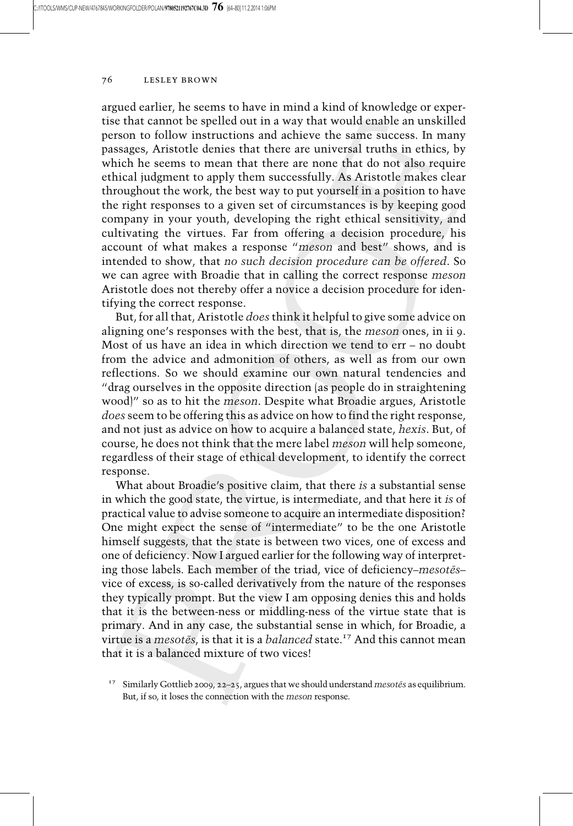argued earlier, he seems to have in mind a kind of knowledge or expertise that cannot be spelled out in a way that would enable an unskilled person to follow instructions and achieve the same success. In many passages, Aristotle denies that there are universal truths in ethics, by which he seems to mean that there are none that do not also require ethical judgment to apply them successfully. As Aristotle makes clear throughout the work, the best way to put yourself in a position to have the right responses to a given set of circumstances is by keeping good company in your youth, developing the right ethical sensitivity, and cultivating the virtues. Far from offering a decision procedure, his account of what makes a response "meson and best" shows, and is intended to show, that no such decision procedure can be offered. So we can agree with Broadie that in calling the correct response meson Aristotle does not thereby offer a novice a decision procedure for identifying the correct response.

But, for all that, Aristotle does think it helpful to give some advice on aligning one's responses with the best, that is, the meson ones, in ii 9. Most of us have an idea in which direction we tend to err – no doubt from the advice and admonition of others, as well as from our own reflections. So we should examine our own natural tendencies and "drag ourselves in the opposite direction (as people do in straightening wood)" so as to hit the meson. Despite what Broadie argues, Aristotle does seem to be offering this as advice on how to find the right response, and not just as advice on how to acquire a balanced state, hexis. But, of course, he does not think that the mere label meson will help someone, regardless of their stage of ethical development, to identify the correct response.

What about Broadie's positive claim, that there is a substantial sense in which the good state, the virtue, is intermediate, and that here it is of practical value to advise someone to acquire an intermediate disposition? One might expect the sense of "intermediate" to be the one Aristotle himself suggests, that the state is between two vices, one of excess and one of deficiency. Now I argued earlier for the following way of interpreting those labels. Each member of the triad, vice of deficiency–mesotes– vice of excess, is so-called derivatively from the nature of the responses they typically prompt. But the view I am opposing denies this and holds that it is the between-ness or middling-ness of the virtue state that is primary. And in any case, the substantial sense in which, for Broadie, a virtue is a mesotes, is that it is a balanced state.<sup>17</sup> And this cannot mean that it is a balanced mixture of two vices!

Similarly Gottlieb 2009, 22–25, argues that we should understand *mesotes* as equilibrium. But, if so, it loses the connection with the meson response.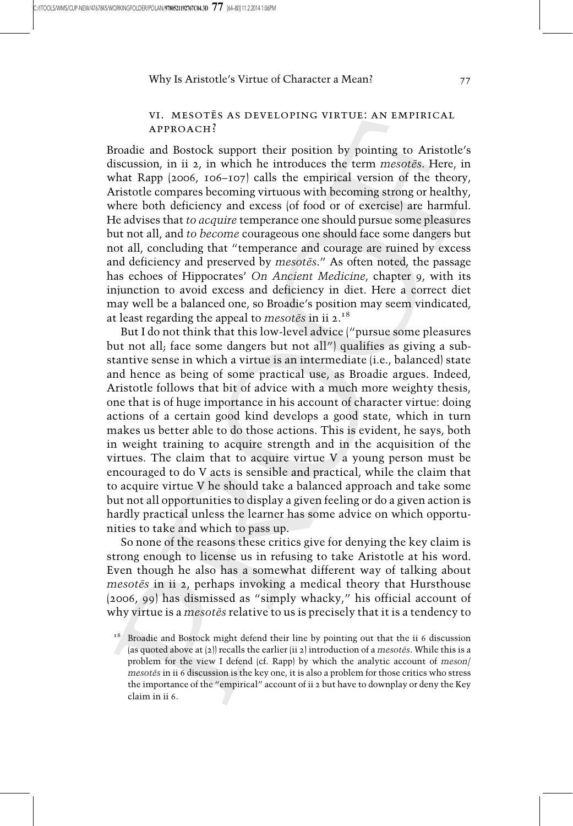# VI. MESOTĒS AS DEVELOPING VIRTUE: AN EMPIRICAL approach?

Broadie and Bostock support their position by pointing to Aristotle's discussion, in ii 2, in which he introduces the term mesotes. Here, in what Rapp (2006, 106–107) calls the empirical version of the theory, Aristotle compares becoming virtuous with becoming strong or healthy, where both deficiency and excess (of food or of exercise) are harmful. He advises that to acquire temperance one should pursue some pleasures but not all, and to become courageous one should face some dangers but not all, concluding that "temperance and courage are ruined by excess and deficiency and preserved by *mesotēs*." As often noted, the passage has echoes of Hippocrates' On Ancient Medicine, chapter 9, with its injunction to avoid excess and deficiency in diet. Here a correct diet may well be a balanced one, so Broadie's position may seem vindicated, at least regarding the appeal to mesotes in ii 2.<sup>18</sup>

But I do not think that this low-level advice ("pursue some pleasures but not all; face some dangers but not all") qualifies as giving a substantive sense in which a virtue is an intermediate (i.e., balanced) state and hence as being of some practical use, as Broadie argues. Indeed, Aristotle follows that bit of advice with a much more weighty thesis, one that is of huge importance in his account of character virtue: doing actions of a certain good kind develops a good state, which in turn makes us better able to do those actions. This is evident, he says, both in weight training to acquire strength and in the acquisition of the virtues. The claim that to acquire virtue V a young person must be encouraged to do V acts is sensible and practical, while the claim that to acquire virtue V he should take a balanced approach and take some but not all opportunities to display a given feeling or do a given action is hardly practical unless the learner has some advice on which opportunities to take and which to pass up.

So none of the reasons these critics give for denying the key claim is strong enough to license us in refusing to take Aristotle at his word. Even though he also has a somewhat different way of talking about mesotes in ii 2, perhaps invoking a medical theory that Hursthouse (2006, 99) has dismissed as "simply whacky," his official account of why virtue is a mesotes relative to us is precisely that it is a tendency to

<sup>18</sup> Broadie and Bostock might defend their line by pointing out that the ii 6 discussion (as quoted above at  $(2)$ ) recalls the earlier (ii 2) introduction of a *mesotes*. While this is a problem for the view I defend (cf. Rapp) by which the analytic account of meson/  $mesot\bar{e}s$  in ii 6 discussion is the key one, it is also a problem for those critics who stress the importance of the "empirical" account of ii 2 but have to downplay or deny the Key claim in ii 6.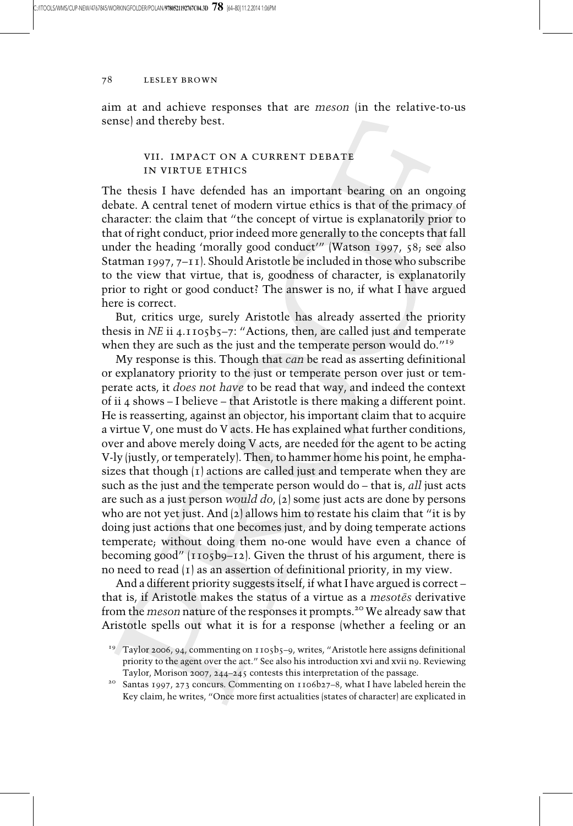aim at and achieve responses that are meson (in the relative-to-us sense) and thereby best.

# vii. impact on a current debate in virtue ethics

The thesis I have defended has an important bearing on an ongoing debate. A central tenet of modern virtue ethics is that of the primacy of character: the claim that "the concept of virtue is explanatorily prior to that of right conduct, prior indeed more generally to the concepts that fall under the heading 'morally good conduct'" (Watson 1997, 58; see also Statman 1997, 7–11). Should Aristotle be included in those who subscribe to the view that virtue, that is, goodness of character, is explanatorily prior to right or good conduct? The answer is no, if what I have argued here is correct.

But, critics urge, surely Aristotle has already asserted the priority thesis in NE ii 4.1105b5–7: "Actions, then, are called just and temperate when they are such as the just and the temperate person would do.<sup>"19</sup>

My response is this. Though that can be read as asserting definitional or explanatory priority to the just or temperate person over just or temperate acts, it does not have to be read that way, and indeed the context of ii 4 shows – I believe – that Aristotle is there making a different point. He is reasserting, against an objector, his important claim that to acquire a virtue V, one must do V acts. He has explained what further conditions, over and above merely doing V acts, are needed for the agent to be acting V-ly (justly, or temperately). Then, to hammer home his point, he emphasizes that though  $\left| \right|$  actions are called just and temperate when they are such as the just and the temperate person would do – that is, all just acts are such as a just person would do, (2) some just acts are done by persons who are not yet just. And (2) allows him to restate his claim that "it is by doing just actions that one becomes just, and by doing temperate actions temperate; without doing them no-one would have even a chance of becoming good"  $(1105b9–12)$ . Given the thrust of his argument, there is no need to read  $(I)$  as an assertion of definitional priority, in my view.

And a different priority suggests itself, if what I have argued is correct – that is, if Aristotle makes the status of a virtue as a *mesotes* derivative from the meson nature of the responses it prompts.<sup>20</sup> We already saw that Aristotle spells out what it is for a response (whether a feeling or an

 $19$  Taylor 2006, 94, commenting on 1105b5-9, writes, "Aristotle here assigns definitional priority to the agent over the act." See also his introduction xvi and xvii n9. Reviewing

Taylor, Morison 2007, 244–245 contests this interpretation of the passage.<br><sup>20</sup> Santas 1997, 273 concurs. Commenting on 1106b27–8, what I have labeled herein the Key claim, he writes, "Once more first actualities (states of character) are explicated in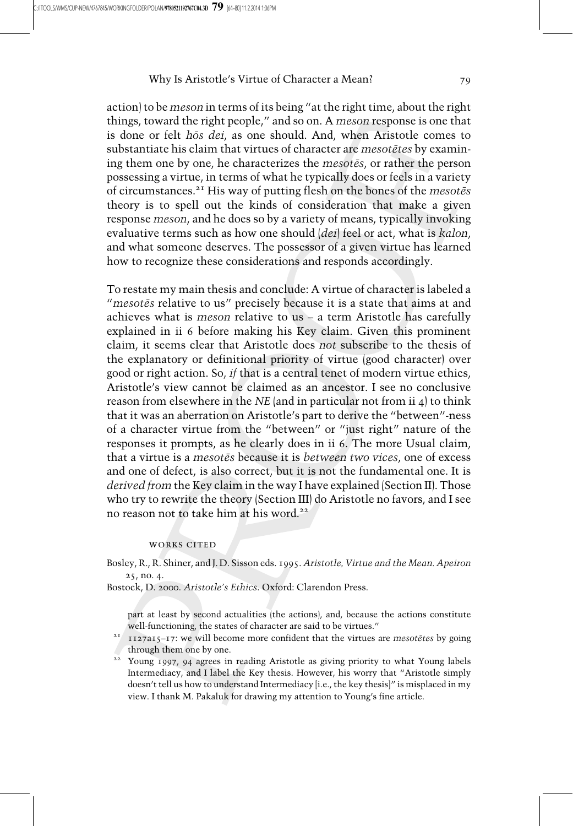action) to be meson in terms of its being "at the right time, about the right things, toward the right people," and so on. A meson response is one that is done or felt *hos dei*, as one should. And, when Aristotle comes to substantiate his claim that virtues of character are *mesotētes* by examining them one by one, he characterizes the *mesotes*, or rather the person possessing a virtue, in terms of what he typically does or feels in a variety of circumstances. $^{21}$  His way of putting flesh on the bones of the *mesotes* theory is to spell out the kinds of consideration that make a given response meson, and he does so by a variety of means, typically invoking evaluative terms such as how one should (*dei*) feel or act, what is *kalon*, and what someone deserves. The possessor of a given virtue has learned how to recognize these considerations and responds accordingly.

To restate my main thesis and conclude: A virtue of character is labeled a "mesotes relative to us" precisely because it is a state that aims at and achieves what is meson relative to us – a term Aristotle has carefully explained in ii 6 before making his Key claim. Given this prominent claim, it seems clear that Aristotle does not subscribe to the thesis of the explanatory or definitional priority of virtue (good character) over good or right action. So, if that is a central tenet of modern virtue ethics, Aristotle's view cannot be claimed as an ancestor. I see no conclusive reason from elsewhere in the NE (and in particular not from ii 4) to think that it was an aberration on Aristotle's part to derive the "between"-ness of a character virtue from the "between" or "just right" nature of the responses it prompts, as he clearly does in ii 6. The more Usual claim, that a virtue is a mesotes because it is *between two vices*, one of excess and one of defect, is also correct, but it is not the fundamental one. It is derived from the Key claim in the way I have explained (Section II). Those who try to rewrite the theory (Section III) do Aristotle no favors, and I see no reason not to take him at his word.<sup>22</sup>

#### works cited

- Bosley, R., R. Shiner, and J. D. Sisson eds. 1995. Aristotle, Virtue and the Mean. Apeiron 25, no. 4.
- Bostock, D. 2000. Aristotle's Ethics. Oxford: Clarendon Press.

part at least by second actualities (the actions), and, because the actions constitute well-functioning, the states of character are said to be virtues."<br> $21 \quad 1127a15$ –17: we will become more confident that the virtues are *mesotētes* by going

- through them one by one.<br><sup>22</sup> Young 1997, 94 agrees in reading Aristotle as giving priority to what Young labels
- Intermediacy, and I label the Key thesis. However, his worry that "Aristotle simply doesn't tell us how to understand Intermediacy [i.e., the key thesis]" is misplaced in my view. I thank M. Pakaluk for drawing my attention to Young's fine article.